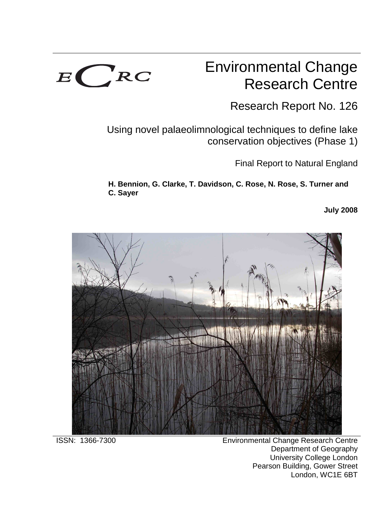

## Environmental Change Research Centre

Research Report No. 126

Using novel palaeolimnological techniques to define lake conservation objectives (Phase 1)

Final Report to Natural England

**H. Bennion, G. Clarke, T. Davidson, C. Rose, N. Rose, S. Turner and C. Sayer** 

**July 2008**



ISSN: 1366-7300 Environmental Change Research Centre Department of Geography University College London Pearson Building, Gower Street London, WC1E 6BT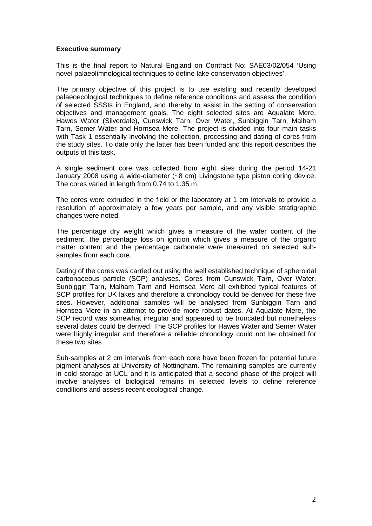#### **Executive summary**

This is the final report to Natural England on Contract No: SAE03/02/054 'Using novel palaeolimnological techniques to define lake conservation objectives'.

The primary objective of this project is to use existing and recently developed palaeoecological techniques to define reference conditions and assess the condition of selected SSSIs in England, and thereby to assist in the setting of conservation objectives and management goals. The eight selected sites are Aqualate Mere, Hawes Water (Silverdale), Cunswick Tarn, Over Water, Sunbiggin Tarn, Malham Tarn, Semer Water and Hornsea Mere. The project is divided into four main tasks with Task 1 essentially involving the collection, processing and dating of cores from the study sites. To date only the latter has been funded and this report describes the outputs of this task.

A single sediment core was collected from eight sites during the period 14-21 January 2008 using a wide-diameter (~8 cm) Livingstone type piston coring device. The cores varied in length from 0.74 to 1.35 m.

The cores were extruded in the field or the laboratory at 1 cm intervals to provide a resolution of approximately a few years per sample, and any visible stratigraphic changes were noted.

The percentage dry weight which gives a measure of the water content of the sediment, the percentage loss on ignition which gives a measure of the organic matter content and the percentage carbonate were measured on selected subsamples from each core.

Dating of the cores was carried out using the well established technique of spheroidal carbonaceous particle (SCP) analyses. Cores from Cunswick Tarn, Over Water, Sunbiggin Tarn, Malham Tarn and Hornsea Mere all exhibited typical features of SCP profiles for UK lakes and therefore a chronology could be derived for these five sites. However, additional samples will be analysed from Sunbiggin Tarn and Hornsea Mere in an attempt to provide more robust dates. At Aqualate Mere, the SCP record was somewhat irregular and appeared to be truncated but nonetheless several dates could be derived. The SCP profiles for Hawes Water and Semer Water were highly irregular and therefore a reliable chronology could not be obtained for these two sites.

Sub-samples at 2 cm intervals from each core have been frozen for potential future pigment analyses at University of Nottingham. The remaining samples are currently in cold storage at UCL and it is anticipated that a second phase of the project will involve analyses of biological remains in selected levels to define reference conditions and assess recent ecological change.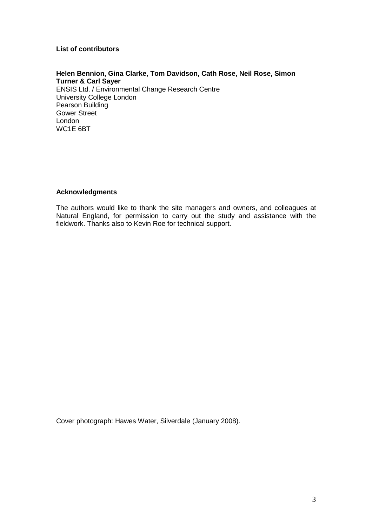#### **List of contributors**

#### **Helen Bennion, Gina Clarke, Tom Davidson, Cath Rose, Neil Rose, Simon Turner & Carl Sayer**

ENSIS Ltd. / Environmental Change Research Centre University College London Pearson Building Gower Street London WC1E 6BT

#### **Acknowledgments**

The authors would like to thank the site managers and owners, and colleagues at Natural England, for permission to carry out the study and assistance with the fieldwork. Thanks also to Kevin Roe for technical support.

Cover photograph: Hawes Water, Silverdale (January 2008).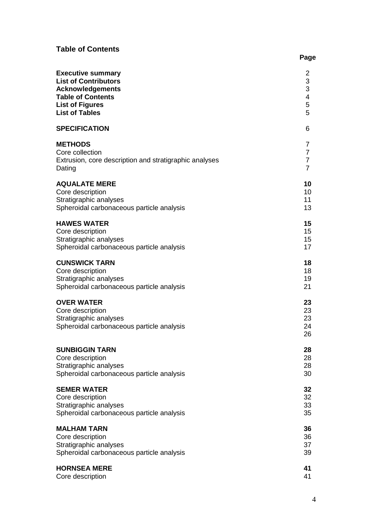### **Table of Contents**

| <b>Executive summary</b>                                                                                     | 2                          |
|--------------------------------------------------------------------------------------------------------------|----------------------------|
| <b>List of Contributors</b>                                                                                  | 3                          |
| <b>Acknowledgements</b>                                                                                      | 3                          |
| <b>Table of Contents</b>                                                                                     | $\overline{\mathbf{4}}$    |
| <b>List of Figures</b>                                                                                       | 5                          |
| <b>List of Tables</b>                                                                                        | 5                          |
| <b>SPECIFICATION</b>                                                                                         | 6                          |
| <b>METHODS</b>                                                                                               | 7                          |
| Core collection                                                                                              | $\overline{7}$             |
| Extrusion, core description and stratigraphic analyses                                                       | $\overline{7}$             |
| Dating                                                                                                       | $\overline{7}$             |
| <b>AQUALATE MERE</b>                                                                                         | 10                         |
| Core description                                                                                             | 10                         |
| Stratigraphic analyses                                                                                       | 11                         |
| Spheroidal carbonaceous particle analysis                                                                    | 13                         |
| <b>HAWES WATER</b>                                                                                           | 15                         |
| Core description                                                                                             | 15                         |
| Stratigraphic analyses                                                                                       | 15                         |
| Spheroidal carbonaceous particle analysis                                                                    | 17                         |
| <b>CUNSWICK TARN</b>                                                                                         | 18                         |
| Core description                                                                                             | 18                         |
| Stratigraphic analyses                                                                                       | 19                         |
| Spheroidal carbonaceous particle analysis                                                                    | 21                         |
| <b>OVER WATER</b><br>Core description<br>Stratigraphic analyses<br>Spheroidal carbonaceous particle analysis | 23<br>23<br>23<br>24<br>26 |
| <b>SUNBIGGIN TARN</b>                                                                                        | 28                         |
| Core description                                                                                             | 28                         |
| Stratigraphic analyses                                                                                       | 28                         |
| Spheroidal carbonaceous particle analysis                                                                    | 30                         |
| <b>SEMER WATER</b>                                                                                           | 32                         |
| Core description                                                                                             | 32                         |
| Stratigraphic analyses                                                                                       | 33                         |
| Spheroidal carbonaceous particle analysis                                                                    | 35                         |
| <b>MALHAM TARN</b>                                                                                           | 36                         |
| Core description                                                                                             | 36                         |
| Stratigraphic analyses                                                                                       | 37                         |
| Spheroidal carbonaceous particle analysis                                                                    | 39                         |
| <b>HORNSEA MERE</b>                                                                                          | 41                         |
| Core description                                                                                             | 41                         |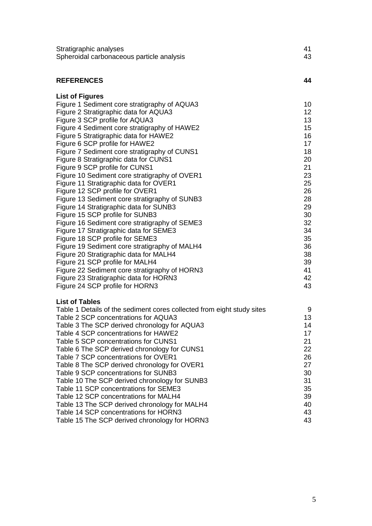| Stratigraphic analyses                    |     |
|-------------------------------------------|-----|
| Spheroidal carbonaceous particle analysis | -43 |

| <b>REFERENCES</b> |  |
|-------------------|--|
|                   |  |

| <b>List of Figures</b>                        |                  |
|-----------------------------------------------|------------------|
| Figure 1 Sediment core stratigraphy of AQUA3  | 10               |
| Figure 2 Stratigraphic data for AQUA3         | 12 <sup>°</sup>  |
| Figure 3 SCP profile for AQUA3                | 13               |
| Figure 4 Sediment core stratigraphy of HAWE2  | 15 <sub>15</sub> |
| Figure 5 Stratigraphic data for HAWE2         | 16               |
| Figure 6 SCP profile for HAWE2                | 17               |
| Figure 7 Sediment core stratigraphy of CUNS1  | 18               |
| Figure 8 Stratigraphic data for CUNS1         | 20               |
| Figure 9 SCP profile for CUNS1                | 21               |
| Figure 10 Sediment core stratigraphy of OVER1 | 23               |
| Figure 11 Stratigraphic data for OVER1        | 25               |
| Figure 12 SCP profile for OVER1               | 26               |
| Figure 13 Sediment core stratigraphy of SUNB3 | 28               |
| Figure 14 Stratigraphic data for SUNB3        | 29               |
| Figure 15 SCP profile for SUNB3               | 30               |
| Figure 16 Sediment core stratigraphy of SEME3 | 32               |
| Figure 17 Stratigraphic data for SEME3        | 34               |
| Figure 18 SCP profile for SEME3               | 35               |
| Figure 19 Sediment core stratigraphy of MALH4 | 36               |
| Figure 20 Stratigraphic data for MALH4        | 38               |
| Figure 21 SCP profile for MALH4               | 39               |
| Figure 22 Sediment core stratigraphy of HORN3 | 41               |
| Figure 23 Stratigraphic data for HORN3        | 42               |
| Figure 24 SCP profile for HORN3               | 43               |

#### **List of Tables**

| Table 1 Details of the sediment cores collected from eight study sites | 9  |
|------------------------------------------------------------------------|----|
| Table 2 SCP concentrations for AQUA3                                   | 13 |
| Table 3 The SCP derived chronology for AQUA3                           | 14 |
| Table 4 SCP concentrations for HAWE2                                   | 17 |
| Table 5 SCP concentrations for CUNS1                                   | 21 |
| Table 6 The SCP derived chronology for CUNS1                           | 22 |
| Table 7 SCP concentrations for OVER1                                   | 26 |
| Table 8 The SCP derived chronology for OVER1                           | 27 |
| Table 9 SCP concentrations for SUNB3                                   | 30 |
| Table 10 The SCP derived chronology for SUNB3                          | 31 |
| Table 11 SCP concentrations for SEME3                                  | 35 |
| Table 12 SCP concentrations for MALH4                                  | 39 |
| Table 13 The SCP derived chronology for MALH4                          | 40 |
| Table 14 SCP concentrations for HORN3                                  | 43 |
| Table 15 The SCP derived chronology for HORN3                          | 43 |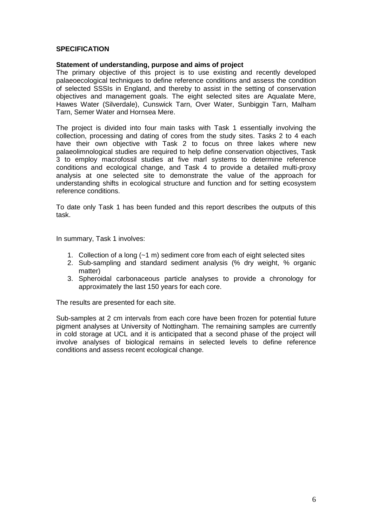#### **SPECIFICATION**

#### **Statement of understanding, purpose and aims of project**

The primary objective of this project is to use existing and recently developed palaeoecological techniques to define reference conditions and assess the condition of selected SSSIs in England, and thereby to assist in the setting of conservation objectives and management goals. The eight selected sites are Aqualate Mere, Hawes Water (Silverdale), Cunswick Tarn, Over Water, Sunbiggin Tarn, Malham Tarn, Semer Water and Hornsea Mere.

The project is divided into four main tasks with Task 1 essentially involving the collection, processing and dating of cores from the study sites. Tasks 2 to 4 each have their own objective with Task 2 to focus on three lakes where new palaeolimnological studies are required to help define conservation objectives, Task 3 to employ macrofossil studies at five marl systems to determine reference conditions and ecological change, and Task 4 to provide a detailed multi-proxy analysis at one selected site to demonstrate the value of the approach for understanding shifts in ecological structure and function and for setting ecosystem reference conditions.

To date only Task 1 has been funded and this report describes the outputs of this task.

In summary, Task 1 involves:

- 1. Collection of a long (~1 m) sediment core from each of eight selected sites
- 2. Sub-sampling and standard sediment analysis (% dry weight, % organic matter)
- 3. Spheroidal carbonaceous particle analyses to provide a chronology for approximately the last 150 years for each core.

The results are presented for each site.

Sub-samples at 2 cm intervals from each core have been frozen for potential future pigment analyses at University of Nottingham. The remaining samples are currently in cold storage at UCL and it is anticipated that a second phase of the project will involve analyses of biological remains in selected levels to define reference conditions and assess recent ecological change.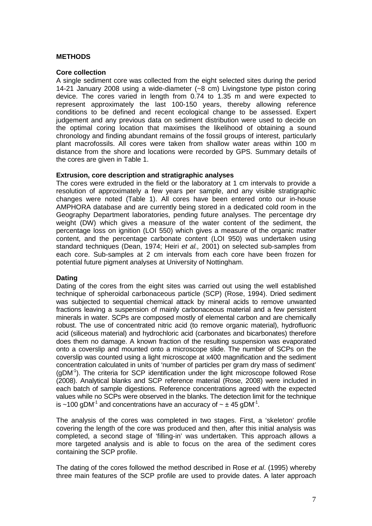#### **METHODS**

#### **Core collection**

A single sediment core was collected from the eight selected sites during the period 14-21 January 2008 using a wide-diameter (~8 cm) Livingstone type piston coring device. The cores varied in length from 0.74 to 1.35 m and were expected to represent approximately the last 100-150 years, thereby allowing reference conditions to be defined and recent ecological change to be assessed. Expert judgement and any previous data on sediment distribution were used to decide on the optimal coring location that maximises the likelihood of obtaining a sound chronology and finding abundant remains of the fossil groups of interest, particularly plant macrofossils. All cores were taken from shallow water areas within 100 m distance from the shore and locations were recorded by GPS. Summary details of the cores are given in Table 1.

#### **Extrusion, core description and stratigraphic analyses**

The cores were extruded in the field or the laboratory at 1 cm intervals to provide a resolution of approximately a few years per sample, and any visible stratigraphic changes were noted (Table 1). All cores have been entered onto our in-house AMPHORA database and are currently being stored in a dedicated cold room in the Geography Department laboratories, pending future analyses. The percentage dry weight (DW) which gives a measure of the water content of the sediment, the percentage loss on ignition (LOI 550) which gives a measure of the organic matter content, and the percentage carbonate content (LOI 950) was undertaken using standard techniques (Dean, 1974; Heiri et al., 2001) on selected sub-samples from each core. Sub-samples at 2 cm intervals from each core have been frozen for potential future pigment analyses at University of Nottingham.

#### **Dating**

Dating of the cores from the eight sites was carried out using the well established technique of spheroidal carbonaceous particle (SCP) (Rose, 1994). Dried sediment was subjected to sequential chemical attack by mineral acids to remove unwanted fractions leaving a suspension of mainly carbonaceous material and a few persistent minerals in water. SCPs are composed mostly of elemental carbon and are chemically robust. The use of concentrated nitric acid (to remove organic material), hydrofluoric acid (siliceous material) and hydrochloric acid (carbonates and bicarbonates) therefore does them no damage. A known fraction of the resulting suspension was evaporated onto a coverslip and mounted onto a microscope slide. The number of SCPs on the coverslip was counted using a light microscope at x400 magnification and the sediment concentration calculated in units of 'number of particles per gram dry mass of sediment'  $(aDM<sup>1</sup>)$ . The criteria for SCP identification under the light microscope followed Rose (2008). Analytical blanks and SCP reference material (Rose, 2008) were included in each batch of sample digestions. Reference concentrations agreed with the expected values while no SCPs were observed in the blanks. The detection limit for the technique is ~100 gDM<sup>-1</sup> and concentrations have an accuracy of ~  $\pm$  45 gDM<sup>-1</sup>.

The analysis of the cores was completed in two stages. First, a 'skeleton' profile covering the length of the core was produced and then, after this initial analysis was completed, a second stage of 'filling-in' was undertaken. This approach allows a more targeted analysis and is able to focus on the area of the sediment cores containing the SCP profile.

The dating of the cores followed the method described in Rose et al. (1995) whereby three main features of the SCP profile are used to provide dates. A later approach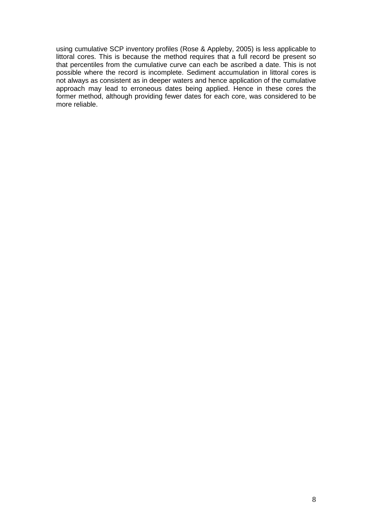using cumulative SCP inventory profiles (Rose & Appleby, 2005) is less applicable to littoral cores. This is because the method requires that a full record be present so that percentiles from the cumulative curve can each be ascribed a date. This is not possible where the record is incomplete. Sediment accumulation in littoral cores is not always as consistent as in deeper waters and hence application of the cumulative approach may lead to erroneous dates being applied. Hence in these cores the former method, although providing fewer dates for each core, was considered to be more reliable.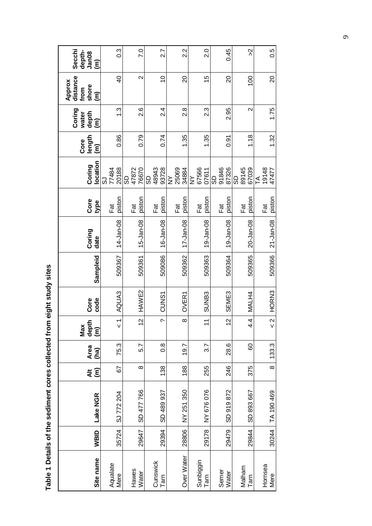| $\bf{e}$<br>۱      |
|--------------------|
|                    |
| $\frac{1}{2}$<br>l |
|                    |
|                    |
|                    |
|                    |
| $\vdots$           |

| Site name         | WBID  | Lake NGR   | $\widehat{\epsilon}$<br>$\ddot{\bar{z}}$ | Area<br>(ha)     | depth<br>Max<br>$\widehat{\epsilon}$ | code<br>Core      | Sampleid | Coring<br>date | Core<br>type     | location<br>Coring                     | length<br>Core<br>$\widehat{\boldsymbol{\epsilon}}$ | Coring<br>depth<br>water<br>$\widehat{\epsilon}$ | distance<br>Approx<br>shore<br>from<br>$\widehat{\epsilon}$ | Secchi<br>depth-<br>Jan08<br>$\widehat{\epsilon}$ |
|-------------------|-------|------------|------------------------------------------|------------------|--------------------------------------|-------------------|----------|----------------|------------------|----------------------------------------|-----------------------------------------------------|--------------------------------------------------|-------------------------------------------------------------|---------------------------------------------------|
| Aqualate<br>Mere  | 35724 | SJ 772 204 | 67                                       | 75.3             | $\overline{\phantom{0}}$<br>٧        | AQUA3             | 509367   | 14-Jan-08      | piston<br>Fat    | 20188<br>77484<br>ာ                    | 0.86                                                | م.<br>1                                          | $\overline{6}$                                              | $0.\overline{3}$                                  |
| Hawes<br>Water    | 29647 | SD 477 766 | $\infty$                                 | 5.7              | $\overline{\mathbf{C}}$              | HAW <sub>E2</sub> | 509361   | 15-Jan-08      | piston<br>下<br>二 | 76670<br>47872<br>8                    | 0.79                                                | 2.6                                              | $\sim$                                                      | $\overline{C}$                                    |
| Cunswick<br>Tarn  | 29394 | SD 489 937 | 138                                      | $\frac{8}{2}$    | $\sim$                               | CUNS1             | 509086   | 16-Jan-08      | piston<br>Fat    | 48943<br>93728<br>ဥ                    | 0.74                                                | $2\overline{4}$                                  | $\frac{1}{2}$                                               | 2.7                                               |
| Over Water        | 28806 | NY 251 350 | 188                                      | 19.7             | $\infty$                             | OVER1             | 509362   | 17-Jan-08      | piston<br>⊺at    | 25069<br>34884<br>$\breve{\mathsf{z}}$ | 1.35                                                | $\frac{8}{2}$                                    | 20                                                          | 2.2                                               |
| Sunbiggin<br>Tarn | 29178 | NY 676 076 | 255                                      | $\overline{3.7}$ | $\overline{1}$                       | SUNB <sub>3</sub> | 509363   | 19-Jan-08      | piston<br>Fat    | 67566<br>07611<br>$\overline{z}$       | 1.35                                                | 2.3                                              | 15                                                          | 2.0                                               |
| Semer<br>Water    | 29479 | SD 919 872 | 246                                      | 28.6             | $\overline{2}$                       | SEME3             | 509364   | 19-Jan-08      | piston<br>Fat    | 91846<br>87326<br>င္တ                  | 0.91                                                | 2.95                                             | 20                                                          | 0.45                                              |
| Malham<br>Tarn    | 29844 | SD 893 667 | 375                                      | 80               | 4.4                                  | MALH4             | 509365   | 20-Jan-08      | piston<br>Fat    | 89145<br>67039<br>ဥ                    | 1.18                                                | $\mathbf{\Omega}$                                | 100                                                         | $\lambda$                                         |
| Hornsea<br>Mere   | 30244 | TA 190 469 | $\infty$                                 | 133.3            | $\overline{\mathsf{N}}$              | HORN3             | 509366   | 21-Jan-08      | piston<br>Fat    | 19148<br>47477<br>F                    | 1.32                                                | 1.75                                             | 20                                                          | 0.5                                               |

 $\bullet$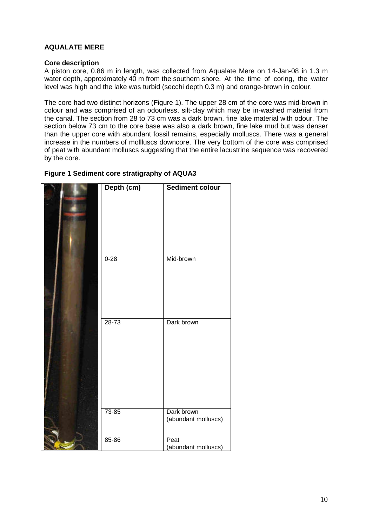#### **AQUALATE MERE**

#### **Core description**

A piston core, 0.86 m in length, was collected from Aqualate Mere on 14-Jan-08 in 1.3 m water depth, approximately 40 m from the southern shore. At the time of coring, the water level was high and the lake was turbid (secchi depth 0.3 m) and orange-brown in colour.

The core had two distinct horizons (Figure 1). The upper 28 cm of the core was mid-brown in colour and was comprised of an odourless, silt-clay which may be in-washed material from the canal. The section from 28 to 73 cm was a dark brown, fine lake material with odour. The section below 73 cm to the core base was also a dark brown, fine lake mud but was denser than the upper core with abundant fossil remains, especially molluscs. There was a general increase in the numbers of mollluscs downcore. The very bottom of the core was comprised of peat with abundant molluscs suggesting that the entire lacustrine sequence was recovered by the core.

| Depth (cm) | <b>Sediment colour</b>            |
|------------|-----------------------------------|
|            |                                   |
|            |                                   |
|            |                                   |
|            |                                   |
|            |                                   |
|            |                                   |
| $0 - 28$   | Mid-brown                         |
|            |                                   |
|            |                                   |
|            |                                   |
|            |                                   |
|            |                                   |
|            |                                   |
| $28 - 73$  | Dark brown                        |
|            |                                   |
|            |                                   |
|            |                                   |
|            |                                   |
|            |                                   |
|            |                                   |
|            |                                   |
|            |                                   |
| $73 - 85$  | Dark brown<br>(abundant molluscs) |
|            |                                   |
|            | Peat                              |
| 85-86      | (abundant molluscs)               |

#### **Figure 1 Sediment core stratigraphy of AQUA3**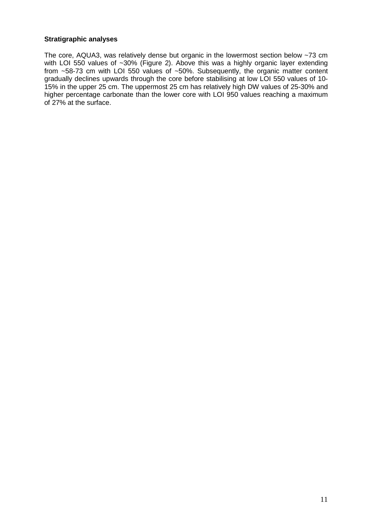#### **Stratigraphic analyses**

The core, AQUA3, was relatively dense but organic in the lowermost section below ~73 cm with LOI 550 values of ~30% (Figure 2). Above this was a highly organic layer extending from ~58-73 cm with LOI 550 values of ~50%. Subsequently, the organic matter content gradually declines upwards through the core before stabilising at low LOI 550 values of 10- 15% in the upper 25 cm. The uppermost 25 cm has relatively high DW values of 25-30% and higher percentage carbonate than the lower core with LOI 950 values reaching a maximum of 27% at the surface.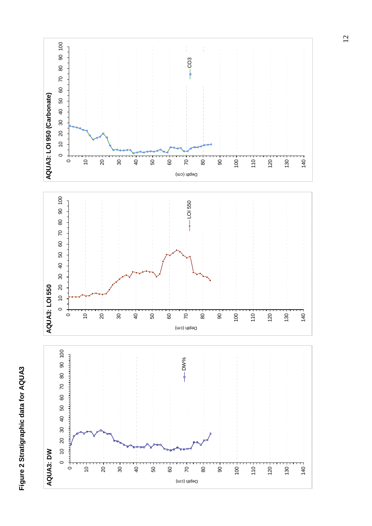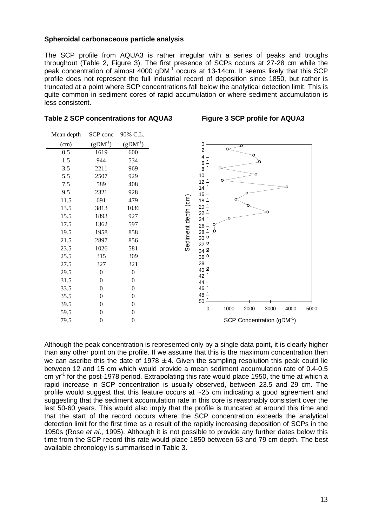#### **Spheroidal carbonaceous particle analysis**

The SCP profile from AQUA3 is rather irregular with a series of peaks and troughs throughout (Table 2, Figure 3). The first presence of SCPs occurs at 27-28 cm while the peak concentration of almost 4000 gDM<sup>-1</sup> occurs at 13-14cm. It seems likely that this SCP profile does not represent the full industrial record of deposition since 1850, but rather is truncated at a point where SCP concentrations fall below the analytical detection limit. This is quite common in sediment cores of rapid accumulation or where sediment accumulation is less consistent.

#### **Table 2 SCP concentrations for AQUA3 Figure 3 SCP profile for AQUA3**

| Mean depth | SCP conc         | 90% C.L.         |                                                   |
|------------|------------------|------------------|---------------------------------------------------|
| (cm)       | $(gDM^{-1})$     | $(gDM^{-1})$     | 0                                                 |
| 0.5        | 1619             | 600              | 2                                                 |
| 1.5        | 944              | 534              | 4<br>6                                            |
| 3.5        | 2211             | 969              | 8                                                 |
| 5.5        | 2507             | 929              | 10                                                |
| 7.5        | 589              | 408              | 12<br>14                                          |
| 9.5        | 2321             | 928              | 16                                                |
| 11.5       | 691              | 479              | 18                                                |
| 13.5       | 3813             | 1036             | Sediment depth (cm)<br>20                         |
| 15.5       | 1893             | 927              | 22<br>24                                          |
| 17.5       | 1362             | 597              | 26                                                |
| 19.5       | 1958             | 858              | 28                                                |
| 21.5       | 2897             | 856              | $30\,$<br>32                                      |
| 23.5       | 1026             | 581              | 34                                                |
| 25.5       | 315              | 309              | 36                                                |
| 27.5       | 327              | 321              | 38                                                |
| 29.5       | $\boldsymbol{0}$ | $\boldsymbol{0}$ | 40<br>42                                          |
| 31.5       | $\overline{0}$   | $\boldsymbol{0}$ | 44                                                |
| 33.5       | $\theta$         | $\boldsymbol{0}$ | 46                                                |
| 35.5       | $\mathbf{0}$     | $\boldsymbol{0}$ | 48                                                |
| 39.5       | $\theta$         | $\boldsymbol{0}$ | 50                                                |
| 59.5       | $\mathbf{0}$     | $\boldsymbol{0}$ | 1000<br>2000<br>3000<br>4000<br>5000<br>$\pmb{0}$ |
| 79.5       | 0                | $\boldsymbol{0}$ | SCP Concentration (gDM <sup>-1</sup> )            |

Although the peak concentration is represented only by a single data point, it is clearly higher than any other point on the profile. If we assume that this is the maximum concentration then we can ascribe this the date of 1978  $\pm$  4. Given the sampling resolution this peak could lie between 12 and 15 cm which would provide a mean sediment accumulation rate of 0.4-0.5 cm  $yr<sup>-1</sup>$  for the post-1978 period. Extrapolating this rate would place 1950, the time at which a rapid increase in SCP concentration is usually observed, between 23.5 and 29 cm. The profile would suggest that this feature occurs at ~25 cm indicating a good agreement and suggesting that the sediment accumulation rate in this core is reasonably consistent over the last 50-60 years. This would also imply that the profile is truncated at around this time and that the start of the record occurs where the SCP concentration exceeds the analytical detection limit for the first time as a result of the rapidly increasing deposition of SCPs in the 1950s (Rose et al., 1995). Although it is not possible to provide any further dates below this time from the SCP record this rate would place 1850 between 63 and 79 cm depth. The best available chronology is summarised in Table 3.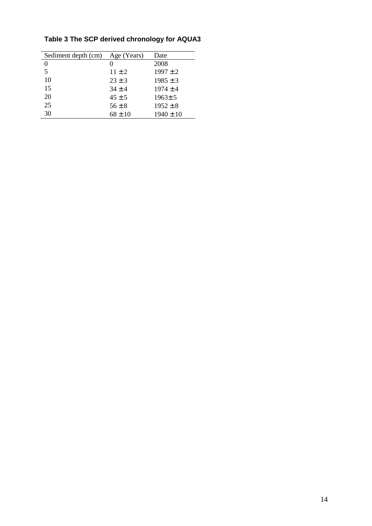| Sediment depth (cm) | Age (Years) | Date          |
|---------------------|-------------|---------------|
| $\theta$            |             | 2008          |
| 5                   | $11 \pm 2$  | $1997 \pm 2$  |
| 10                  | $23 \pm 3$  | $1985 \pm 3$  |
| 15                  | $34 + 4$    | $1974 \pm 4$  |
| 20                  | $45 \pm 5$  | $1963 \pm 5$  |
| 25                  | $56 \pm 8$  | $1952 \pm 8$  |
| 30                  | $68 \pm 10$ | $1940 \pm 10$ |
|                     |             |               |

## **Table 3 The SCP derived chronology for AQUA3**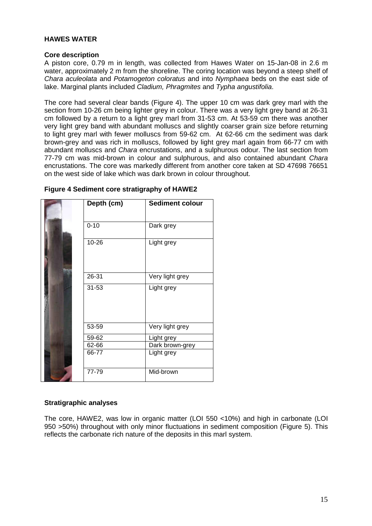#### **HAWES WATER**

#### **Core description**

A piston core, 0.79 m in length, was collected from Hawes Water on 15-Jan-08 in 2.6 m water, approximately 2 m from the shoreline. The coring location was beyond a steep shelf of Chara aculeolata and Potamogeton coloratus and into Nymphaea beds on the east side of lake. Marginal plants included Cladium, Phragmites and Typha angustifolia.

The core had several clear bands (Figure 4). The upper 10 cm was dark grey marl with the section from 10-26 cm being lighter grey in colour. There was a very light grey band at 26-31 cm followed by a return to a light grey marl from 31-53 cm. At 53-59 cm there was another very light grey band with abundant molluscs and slightly coarser grain size before returning to light grey marl with fewer molluscs from 59-62 cm. At 62-66 cm the sediment was dark brown-grey and was rich in molluscs, followed by light grey marl again from 66-77 cm with abundant molluscs and Chara encrustations, and a sulphurous odour. The last section from 77-79 cm was mid-brown in colour and sulphurous, and also contained abundant Chara encrustations. The core was markedly different from another core taken at SD 47698 76651 on the west side of lake which was dark brown in colour throughout.

| Depth (cm) | <b>Sediment colour</b> |
|------------|------------------------|
| $0 - 10$   | Dark grey              |
| 10-26      | Light grey             |
| 26-31      | Very light grey        |
| 31-53      | Light grey             |
| 53-59      | Very light grey        |
| 59-62      | Light grey             |
| 62-66      | Dark brown-grey        |
| 66-77      | Light grey             |
| $77 - 79$  | Mid-brown              |

#### **Figure 4 Sediment core stratigraphy of HAWE2**

#### **Stratigraphic analyses**

The core, HAWE2, was low in organic matter (LOI 550 <10%) and high in carbonate (LOI 950 >50%) throughout with only minor fluctuations in sediment composition (Figure 5). This reflects the carbonate rich nature of the deposits in this marl system.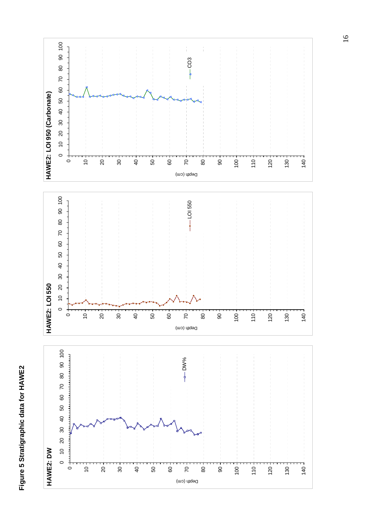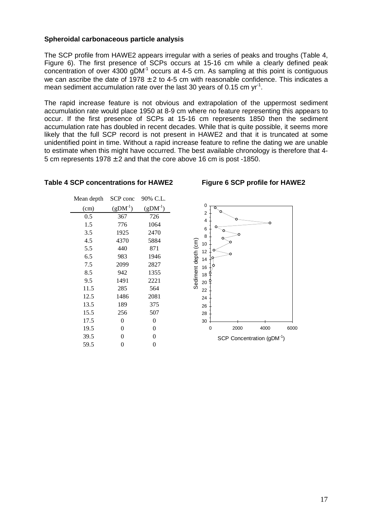#### **Spheroidal carbonaceous particle analysis**

The SCP profile from HAWE2 appears irregular with a series of peaks and troughs (Table 4, Figure 6). The first presence of SCPs occurs at 15-16 cm while a clearly defined peak concentration of over 4300 gDM<sup>-1</sup> occurs at 4-5 cm. As sampling at this point is contiguous we can ascribe the date of  $1978 \pm 2$  to 4-5 cm with reasonable confidence. This indicates a mean sediment accumulation rate over the last 30 years of 0.15 cm yr<sup>-1</sup>.

The rapid increase feature is not obvious and extrapolation of the uppermost sediment accumulation rate would place 1950 at 8-9 cm where no feature representing this appears to occur. If the first presence of SCPs at 15-16 cm represents 1850 then the sediment accumulation rate has doubled in recent decades. While that is quite possible, it seems more likely that the full SCP record is not present in HAWE2 and that it is truncated at some unidentified point in time. Without a rapid increase feature to refine the dating we are unable to estimate when this might have occurred. The best available chronology is therefore that 4- 5 cm represents  $1978 \pm 2$  and that the core above 16 cm is post -1850.

#### **Table 4 SCP concentrations for HAWE2 Figure 6 SCP profile for HAWE2**

| Mean depth | SCP conc  | 90% C.L.  |
|------------|-----------|-----------|
| (cm)       | $(gDM-1)$ | $(gDM-1)$ |
| 0.5        | 367       | 726       |
| 1.5        | 776       | 1064      |
| 3.5        | 1925      | 2470      |
| 4.5        | 4370      | 5884      |
| 5.5        | 440       | 871       |
| 6.5        | 983       | 1946      |
| 7.5        | 2099      | 2827      |
| 8.5        | 942       | 1355      |
| 9.5        | 1491      | 2221      |
| 11.5       | 285       | 564       |
| 12.5       | 1486      | 2081      |
| 13.5       | 189       | 375       |
| 15.5       | 256       | 507       |
| 17.5       | 0         | 0         |
| 19.5       | 0         | 0         |
| 39.5       | 0         | 0         |
| 59.5       | 0         | 0         |
|            |           |           |

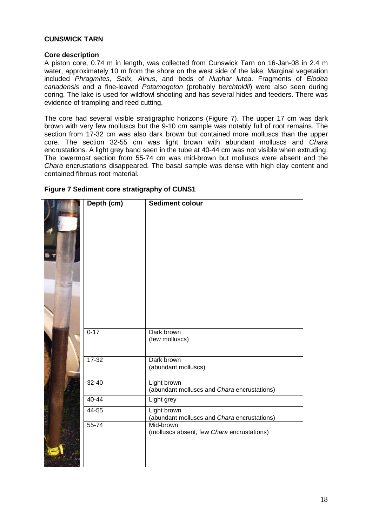#### **CUNSWICK TARN**

#### **Core description**

A piston core, 0.74 m in length, was collected from Cunswick Tarn on 16-Jan-08 in 2.4 m water, approximately 10 m from the shore on the west side of the lake. Marginal vegetation included Phragmites, Salix, Alnus, and beds of Nuphar lutea. Fragments of Elodea canadensis and a fine-leaved Potamogeton (probably berchtoldii) were also seen during coring. The lake is used for wildfowl shooting and has several hides and feeders. There was evidence of trampling and reed cutting.

The core had several visible stratigraphic horizons (Figure 7). The upper 17 cm was dark brown with very few molluscs but the 9-10 cm sample was notably full of root remains. The section from 17-32 cm was also dark brown but contained more molluscs than the upper core. The section 32-55 cm was light brown with abundant molluscs and Chara encrustations. A light grey band seen in the tube at 40-44 cm was not visible when extruding. The lowermost section from 55-74 cm was mid-brown but molluscs were absent and the Chara encrustations disappeared. The basal sample was dense with high clay content and contained fibrous root material.

| Depth (cm) | <b>Sediment colour</b>                                     |
|------------|------------------------------------------------------------|
| $0 - 17$   | Dark brown<br>(few molluscs)                               |
| $17 - 32$  | Dark brown<br>(abundant molluscs)                          |
| $32 - 40$  | Light brown<br>(abundant molluscs and Chara encrustations) |
| 40-44      | Light grey                                                 |
| 44-55      | Light brown<br>(abundant molluscs and Chara encrustations) |
| 55-74      | Mid-brown<br>(molluscs absent, few Chara encrustations)    |

**Figure 7 Sediment core stratigraphy of CUNS1**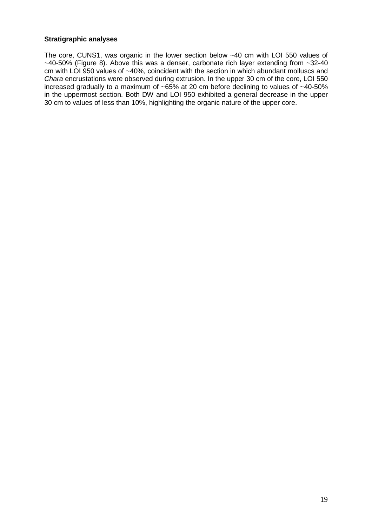#### **Stratigraphic analyses**

The core, CUNS1, was organic in the lower section below ~40 cm with LOI 550 values of  $~1$ -40-50% (Figure 8). Above this was a denser, carbonate rich layer extending from  $~1$ -32-40 cm with LOI 950 values of ~40%, coincident with the section in which abundant molluscs and Chara encrustations were observed during extrusion. In the upper 30 cm of the core, LOI 550 increased gradually to a maximum of  $\sim65\%$  at 20 cm before declining to values of  $\sim40-50\%$ in the uppermost section. Both DW and LOI 950 exhibited a general decrease in the upper 30 cm to values of less than 10%, highlighting the organic nature of the upper core.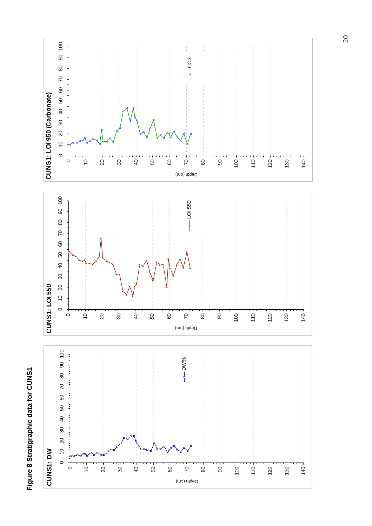## **Figure 8 Stratigraphic data for CUNS1**  Figure 8 Stratigraphic data for CUNS1

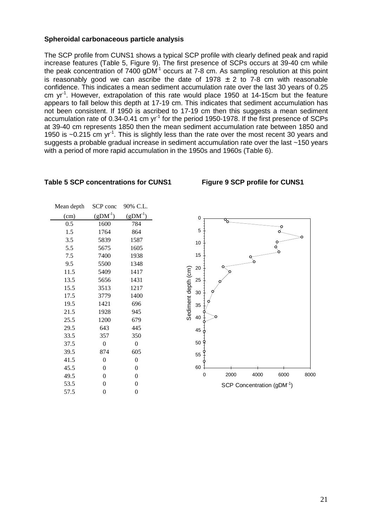#### **Spheroidal carbonaceous particle analysis**

The SCP profile from CUNS1 shows a typical SCP profile with clearly defined peak and rapid increase features (Table 5, Figure 9). The first presence of SCPs occurs at 39-40 cm while the peak concentration of  $7400$  gDM $<sup>1</sup>$  occurs at 7-8 cm. As sampling resolution at this point</sup> is reasonably good we can ascribe the date of 1978  $\pm$  2 to 7-8 cm with reasonable confidence. This indicates a mean sediment accumulation rate over the last 30 years of 0.25 cm yr<sup>-1</sup>. However, extrapolation of this rate would place 1950 at 14-15cm but the feature appears to fall below this depth at 17-19 cm. This indicates that sediment accumulation has not been consistent. If 1950 is ascribed to 17-19 cm then this suggests a mean sediment accumulation rate of 0.34-0.41 cm  $yr^{-1}$  for the period 1950-1978. If the first presence of SCPs at 39-40 cm represents 1850 then the mean sediment accumulation rate between 1850 and 1950 is  $\sim$ 0.215 cm vr<sup>1</sup>. This is slightly less than the rate over the most recent 30 years and suggests a probable gradual increase in sediment accumulation rate over the last ~150 years with a period of more rapid accumulation in the 1950s and 1960s (Table 6).

#### **Table 5 SCP concentrations for CUNS1 Figure 9 SCP profile for CUNS1**

Mean depth SCP conc 90% C.L.

| 1110au acpun |                  |                  |
|--------------|------------------|------------------|
| (cm)         | $(gDM^{-1})$     | $(gDM^{-1})$     |
| 0.5          | 1600             | 784              |
| 1.5          | 1764             | 864              |
| 3.5          | 5839             | 1587             |
| 5.5          | 5675             | 1605             |
| 7.5          | 7400             | 1938             |
| 9.5          | 5500             | 1348             |
| 11.5         | 5409             | 1417             |
| 13.5         | 5656             | 1431             |
| 15.5         | 3513             | 1217             |
| 17.5         | 3779             | 1400             |
| 19.5         | 1421             | 696              |
| 21.5         | 1928             | 945              |
| 25.5         | 1200             | 679              |
| 29.5         | 643              | 445              |
| 33.5         | 357              | 350              |
| 37.5         | 0                | 0                |
| 39.5         | 874              | 605              |
| 41.5         | 0                | $\overline{0}$   |
| 45.5         | 0                | 0                |
| 49.5         | 0                | $\overline{0}$   |
| 53.5         | $\boldsymbol{0}$ | $\boldsymbol{0}$ |
| 57.5         | 0                | 0                |
|              |                  |                  |



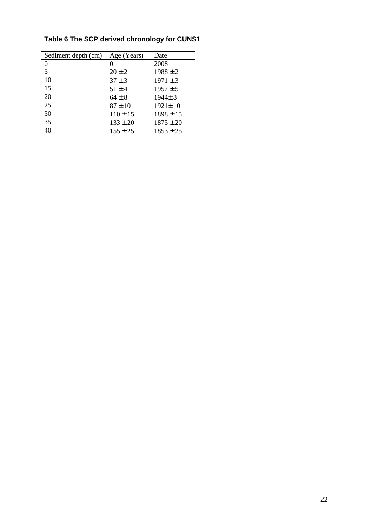| Sediment depth (cm) | Age (Years)  | Date          |
|---------------------|--------------|---------------|
| 0                   | 0            | 2008          |
| 5                   | $20 \pm 2$   | $1988 \pm 2$  |
| 10                  | $37 \pm 3$   | $1971 \pm 3$  |
| 15                  | $51 \pm 4$   | $1957 \pm 5$  |
| 20                  | $64 \pm 8$   | $1944 \pm 8$  |
| 25                  | $87 \pm 10$  | $1921 \pm 10$ |
| 30                  | $110 \pm 15$ | $1898 \pm 15$ |
| 35                  | $133 \pm 20$ | $1875 \pm 20$ |
| 40                  | $155 \pm 25$ | $1853 \pm 25$ |
|                     |              |               |

## **Table 6 The SCP derived chronology for CUNS1**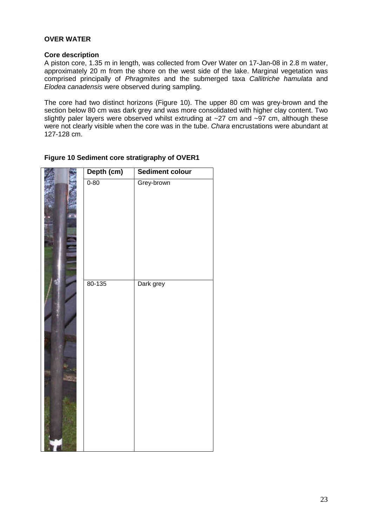#### **OVER WATER**

#### **Core description**

A piston core, 1.35 m in length, was collected from Over Water on 17-Jan-08 in 2.8 m water, approximately 20 m from the shore on the west side of the lake. Marginal vegetation was comprised principally of Phragmites and the submerged taxa Callitriche hamulata and Elodea canadensis were observed during sampling.

The core had two distinct horizons (Figure 10). The upper 80 cm was grey-brown and the section below 80 cm was dark grey and was more consolidated with higher clay content. Two slightly paler layers were observed whilst extruding at ~27 cm and ~97 cm, although these were not clearly visible when the core was in the tube. Chara encrustations were abundant at 127-128 cm.

| Depth (cm) | <b>Sediment colour</b> |
|------------|------------------------|
| $0 - 80$   | Grey-brown             |
| 80-135     | Dark grey              |

#### **Figure 10 Sediment core stratigraphy of OVER1**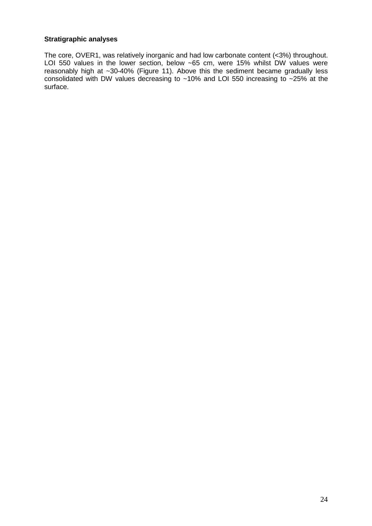#### **Stratigraphic analyses**

The core, OVER1, was relatively inorganic and had low carbonate content (<3%) throughout. LOI 550 values in the lower section, below ~65 cm, were 15% whilst DW values were reasonably high at ~30-40% (Figure 11). Above this the sediment became gradually less consolidated with DW values decreasing to  $~10\%$  and LOI 550 increasing to  $~25\%$  at the surface.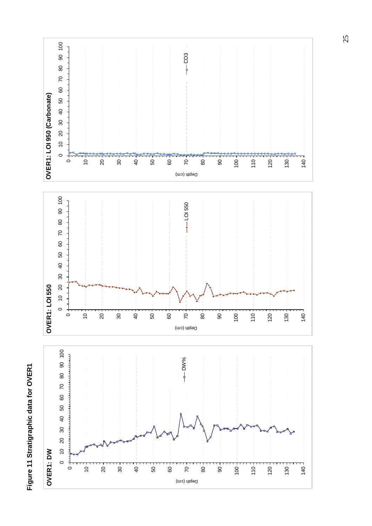

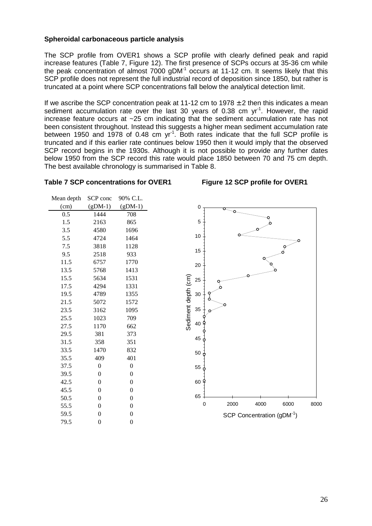#### **Spheroidal carbonaceous particle analysis**

The SCP profile from OVER1 shows a SCP profile with clearly defined peak and rapid increase features (Table 7, Figure 12). The first presence of SCPs occurs at 35-36 cm while the peak concentration of almost  $7000$  gDM $<sup>1</sup>$  occurs at 11-12 cm. It seems likely that this</sup> SCP profile does not represent the full industrial record of deposition since 1850, but rather is truncated at a point where SCP concentrations fall below the analytical detection limit.

If we ascribe the SCP concentration peak at 11-12 cm to 1978  $\pm$  2 then this indicates a mean sediment accumulation rate over the last 30 years of 0.38 cm  $yr<sup>-1</sup>$ . However, the rapid increase feature occurs at ~25 cm indicating that the sediment accumulation rate has not been consistent throughout. Instead this suggests a higher mean sediment accumulation rate between 1950 and 1978 of 0.48 cm  $yr<sup>-1</sup>$ . Both rates indicate that the full SCP profile is truncated and if this earlier rate continues below 1950 then it would imply that the observed SCP record begins in the 1930s. Although it is not possible to provide any further dates below 1950 from the SCP record this rate would place 1850 between 70 and 75 cm depth. The best available chronology is summarised in Table 8.

#### Table 7 SCP concentrations for OVER1 Figure 12 SCP profile for OVER1

| SCP conc         | 90% C.L.         |
|------------------|------------------|
| $(gDM-1)$        | $(gDM-1)$        |
| 1444             | 708              |
| 2163             | 865              |
| 4580             | 1696             |
| 4724             | 1464             |
| 3818             | 1128             |
| 2518             | 933              |
| 6757             | 1770             |
| 5768             | 1413             |
| 5634             | 1531             |
| 4294             | 1331             |
| 4789             | 1355             |
| 5072             | 1572             |
| 3162             | 1095             |
| 1023             | 709              |
| 1170             | 662              |
| 381              | 373              |
| 358              | 351              |
| 1470             | 832              |
| 409              | 401              |
| 0                | 0                |
| $\boldsymbol{0}$ | 0                |
| $\overline{0}$   | $\boldsymbol{0}$ |
| $\boldsymbol{0}$ | $\boldsymbol{0}$ |
| $\overline{0}$   | $\boldsymbol{0}$ |
| $\overline{0}$   | $\overline{0}$   |
| $\overline{0}$   | $\overline{0}$   |
| $\overline{0}$   | 0                |
|                  |                  |

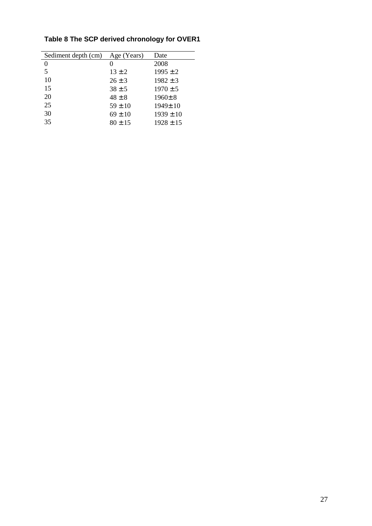| Sediment depth (cm) | Age (Years) | Date          |
|---------------------|-------------|---------------|
| $^{(1)}$            |             | 2008          |
| 5                   | $13 \pm 2$  | $1995 \pm 2$  |
| 10                  | $26 \pm 3$  | $1982 \pm 3$  |
| 15                  | $38 \pm 5$  | $1970 \pm 5$  |
| 20                  | $48 \pm 8$  | $1960 \pm 8$  |
| 25                  | $59 \pm 10$ | $1949 \pm 10$ |
| 30                  | $69 \pm 10$ | $1939 \pm 10$ |
| 35                  | $80 \pm 15$ | $1928 \pm 15$ |

## **Table 8 The SCP derived chronology for OVER1**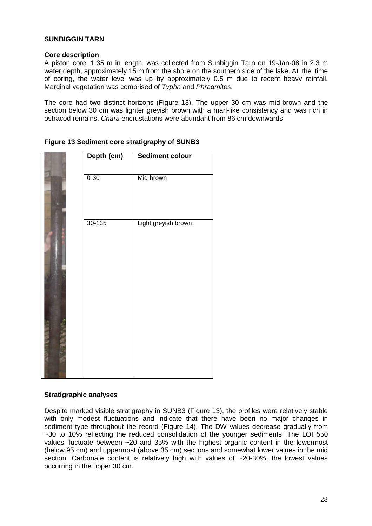#### **SUNBIGGIN TARN**

#### **Core description**

A piston core, 1.35 m in length, was collected from Sunbiggin Tarn on 19-Jan-08 in 2.3 m water depth, approximately 15 m from the shore on the southern side of the lake. At the time of coring, the water level was up by approximately 0.5 m due to recent heavy rainfall. Marginal vegetation was comprised of Typha and Phragmites.

The core had two distinct horizons (Figure 13). The upper 30 cm was mid-brown and the section below 30 cm was lighter greyish brown with a marl-like consistency and was rich in ostracod remains. Chara encrustations were abundant from 86 cm downwards

| Depth (cm) | <b>Sediment colour</b> |
|------------|------------------------|
| $0 - 30$   | Mid-brown              |
| $30 - 135$ | Light greyish brown    |

#### **Figure 13 Sediment core stratigraphy of SUNB3**

#### **Stratigraphic analyses**

Despite marked visible stratigraphy in SUNB3 (Figure 13), the profiles were relatively stable with only modest fluctuations and indicate that there have been no major changes in sediment type throughout the record (Figure 14). The DW values decrease gradually from ~30 to 10% reflecting the reduced consolidation of the younger sediments. The LOI 550 values fluctuate between ~20 and 35% with the highest organic content in the lowermost (below 95 cm) and uppermost (above 35 cm) sections and somewhat lower values in the mid section. Carbonate content is relatively high with values of ~20-30%, the lowest values occurring in the upper 30 cm.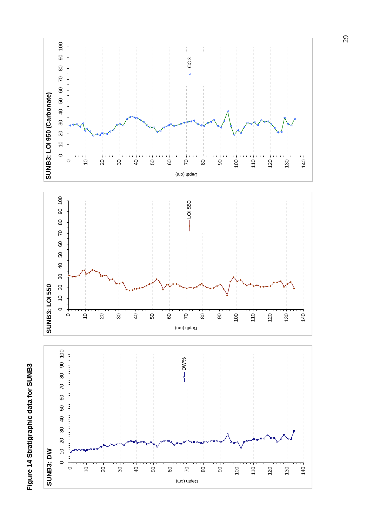# Figure 14 Stratigraphic data for SUNB3 **Figure 14 Stratigraphic data for SUNB3**

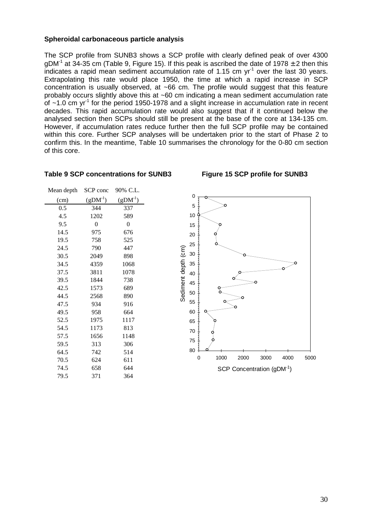#### **Spheroidal carbonaceous particle analysis**

The SCP profile from SUNB3 shows a SCP profile with clearly defined peak of over 4300 gDM<sup>-1</sup> at 34-35 cm (Table 9, Figure 15). If this peak is ascribed the date of 1978  $\pm$  2 then this indicates a rapid mean sediment accumulation rate of 1.15 cm  $yr^{-1}$  over the last 30 years. Extrapolating this rate would place 1950, the time at which a rapid increase in SCP concentration is usually observed, at ~66 cm. The profile would suggest that this feature probably occurs slightly above this at ~60 cm indicating a mean sediment accumulation rate of  $\sim$ 1.0 cm yr<sup>-1</sup> for the period 1950-1978 and a slight increase in accumulation rate in recent decades. This rapid accumulation rate would also suggest that if it continued below the analysed section then SCPs should still be present at the base of the core at 134-135 cm. However, if accumulation rates reduce further then the full SCP profile may be contained within this core. Further SCP analyses will be undertaken prior to the start of Phase 2 to confirm this. In the meantime, Table 10 summarises the chronology for the 0-80 cm section of this core.

| Mean depth | SCP conc  | 90% C.L.  |
|------------|-----------|-----------|
| (cm)       | $(gDM-1)$ | $(gDM-1)$ |
| 0.5        | 344       | 337       |
| 4.5        | 1202      | 589       |
| 9.5        | 0         | 0         |
| 14.5       | 975       | 676       |
| 19.5       | 758       | 525       |
| 24.5       | 790       | 447       |
| 30.5       | 2049      | 898       |
| 34.5       | 4359      | 1068      |
| 37.5       | 3811      | 1078      |
| 39.5       | 1844      | 738       |
| 42.5       | 1573      | 689       |
| 44.5       | 2568      | 890       |
| 47.5       | 934       | 916       |
| 49.5       | 958       | 664       |
| 52.5       | 1975      | 1117      |
| 54.5       | 1173      | 813       |
| 57.5       | 1656      | 1148      |
| 59.5       | 313       | 306       |
| 64.5       | 742       | 514       |
| 70.5       | 624       | 611       |
| 74.5       | 658       | 644       |
| 79.5       | 371       | 364       |
|            |           |           |

#### **Table 9 SCP concentrations for SUNB3 Figure 15 SCP profile for SUNB3**

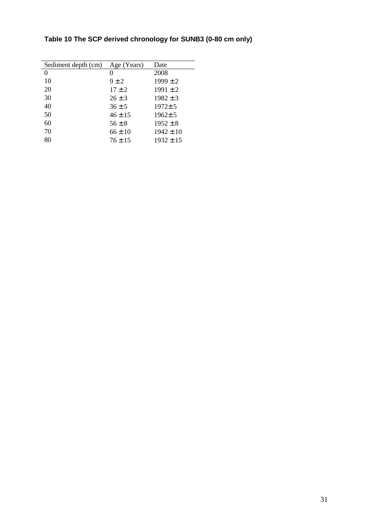| Sediment depth (cm) | Age (Years) | Date          |
|---------------------|-------------|---------------|
| 0                   | 0           | 2008          |
| 10                  | $9 \pm 2$   | $1999 \pm 2$  |
| 20                  | $17 \pm 2$  | $1991 \pm 2$  |
| 30                  | $26 \pm 3$  | $1982 \pm 3$  |
| 40                  | $36 \pm 5$  | $1972 \pm 5$  |
| 50                  | $46 \pm 15$ | $1962 \pm 5$  |
| 60                  | $56 \pm 8$  | $1952 \pm 8$  |
| 70                  | $66 \pm 10$ | $1942 \pm 10$ |
| 80                  | $76 \pm 15$ | $1932 \pm 15$ |

## **Table 10 The SCP derived chronology for SUNB3 (0-80 cm only)**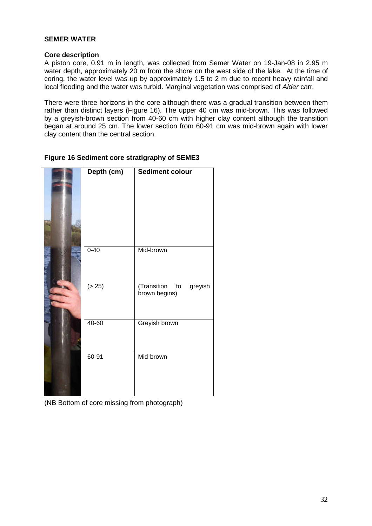#### **SEMER WATER**

#### **Core description**

A piston core, 0.91 m in length, was collected from Semer Water on 19-Jan-08 in 2.95 m water depth, approximately 20 m from the shore on the west side of the lake. At the time of coring, the water level was up by approximately 1.5 to 2 m due to recent heavy rainfall and local flooding and the water was turbid. Marginal vegetation was comprised of Alder carr.

There were three horizons in the core although there was a gradual transition between them rather than distinct layers (Figure 16). The upper 40 cm was mid-brown. This was followed by a greyish-brown section from 40-60 cm with higher clay content although the transition began at around 25 cm. The lower section from 60-91 cm was mid-brown again with lower clay content than the central section.

|  |  |  | Figure 16 Sediment core stratigraphy of SEME3 |  |  |
|--|--|--|-----------------------------------------------|--|--|
|--|--|--|-----------------------------------------------|--|--|

| Depth (cm) | Sediment colour                            |
|------------|--------------------------------------------|
| $0 - 40$   | Mid-brown                                  |
| (> 25)     | (Transition to<br>greyish<br>brown begins) |
| $40 - 60$  | Greyish brown                              |
| $60 - 91$  | Mid-brown                                  |

(NB Bottom of core missing from photograph)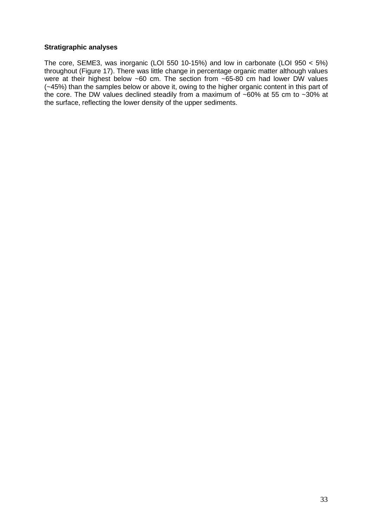#### **Stratigraphic analyses**

The core, SEME3, was inorganic (LOI 550 10-15%) and low in carbonate (LOI 950 < 5%) throughout (Figure 17). There was little change in percentage organic matter although values were at their highest below ~60 cm. The section from ~65-80 cm had lower DW values (~45%) than the samples below or above it, owing to the higher organic content in this part of the core. The DW values declined steadily from a maximum of  $~60\%$  at 55 cm to  $~30\%$  at the surface, reflecting the lower density of the upper sediments.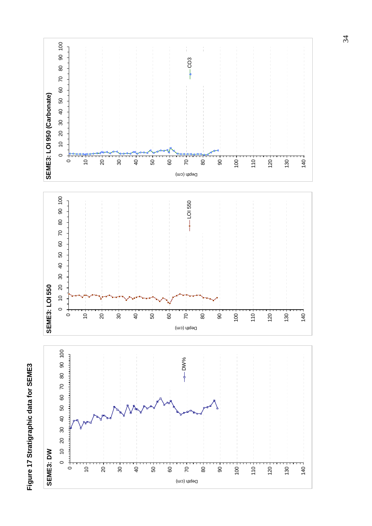

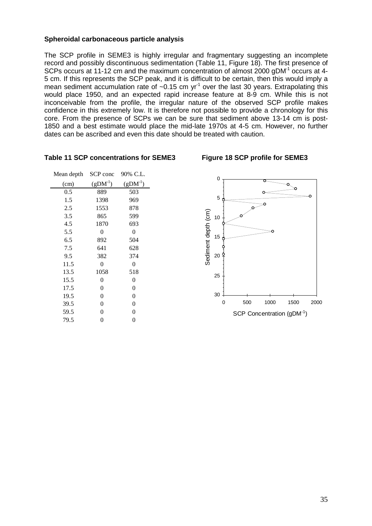#### **Spheroidal carbonaceous particle analysis**

The SCP profile in SEME3 is highly irregular and fragmentary suggesting an incomplete record and possibly discontinuous sedimentation (Table 11, Figure 18). The first presence of SCPs occurs at 11-12 cm and the maximum concentration of almost 2000 gDM<sup>-1</sup> occurs at 4-5 cm. If this represents the SCP peak, and it is difficult to be certain, then this would imply a mean sediment accumulation rate of  $\sim 0.15$  cm yr<sup>-1</sup> over the last 30 years. Extrapolating this would place 1950, and an expected rapid increase feature at 8-9 cm. While this is not inconceivable from the profile, the irregular nature of the observed SCP profile makes confidence in this extremely low. It is therefore not possible to provide a chronology for this core. From the presence of SCPs we can be sure that sediment above 13-14 cm is post-1850 and a best estimate would place the mid-late 1970s at 4-5 cm. However, no further dates can be ascribed and even this date should be treated with caution.

| Mean depth | SCP conc       | 90% C.L.         |
|------------|----------------|------------------|
| (cm)       | $(gDM-1)$      | $(gDM-1)$        |
| $0.5\,$    | 889            | 503              |
| 1.5        | 1398           | 969              |
| 2.5        | 1553           | 878              |
| 3.5        | 865            | 599              |
| 4.5        | 1870           | 693              |
| 5.5        | 0              | 0                |
| 6.5        | 892            | 504              |
| 7.5        | 641            | 628              |
| 9.5        | 382            | 374              |
| 11.5       | 0              | 0                |
| 13.5       | 1058           | 518              |
| 15.5       | 0              | 0                |
| 17.5       | 0              | 0                |
| 19.5       | 0              | 0                |
| 39.5       | $\overline{0}$ | $\overline{0}$   |
| 59.5       | 0              | $\boldsymbol{0}$ |
| 79.5       | $\overline{0}$ | 0                |
|            |                |                  |

#### **Table 11 SCP concentrations for SEME3 Figure 18 SCP profile for SEME3**

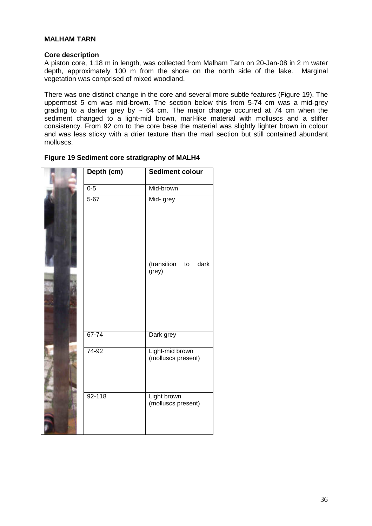#### **MALHAM TARN**

#### **Core description**

A piston core, 1.18 m in length, was collected from Malham Tarn on 20-Jan-08 in 2 m water depth, approximately 100 m from the shore on the north side of the lake. Marginal vegetation was comprised of mixed woodland.

There was one distinct change in the core and several more subtle features (Figure 19). The uppermost 5 cm was mid-brown. The section below this from 5-74 cm was a mid-grey grading to a darker grey by  $\sim 64$  cm. The major change occurred at 74 cm when the sediment changed to a light-mid brown, marl-like material with molluscs and a stiffer consistency. From 92 cm to the core base the material was slightly lighter brown in colour and was less sticky with a drier texture than the marl section but still contained abundant molluscs.

|  |  |  | Figure 19 Sediment core stratigraphy of MALH4 |  |  |
|--|--|--|-----------------------------------------------|--|--|
|--|--|--|-----------------------------------------------|--|--|

| Depth (cm) | <b>Sediment colour</b>                |  |
|------------|---------------------------------------|--|
| $0 - 5$    | Mid-brown                             |  |
| $5 - 67$   | Mid- grey                             |  |
|            | (transition<br>dark<br>to<br>grey)    |  |
| $67 - 74$  | Dark grey                             |  |
| 74-92      | Light-mid brown<br>(molluscs present) |  |
| $92 - 118$ | Light brown<br>(molluscs present)     |  |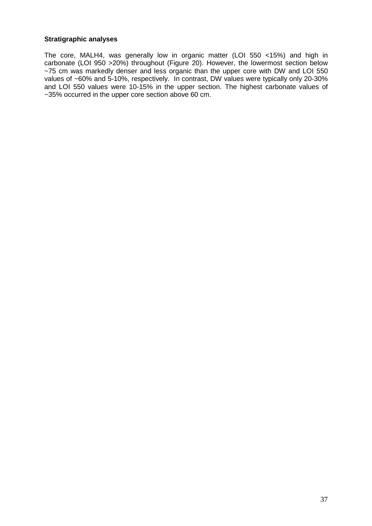#### **Stratigraphic analyses**

The core, MALH4, was generally low in organic matter (LOI 550 <15%) and high in carbonate (LOI 950 >20%) throughout (Figure 20). However, the lowermost section below ~75 cm was markedly denser and less organic than the upper core with DW and LOI 550 values of ~60% and 5-10%, respectively. In contrast, DW values were typically only 20-30% and LOI 550 values were 10-15% in the upper section. The highest carbonate values of ~35% occurred in the upper core section above 60 cm.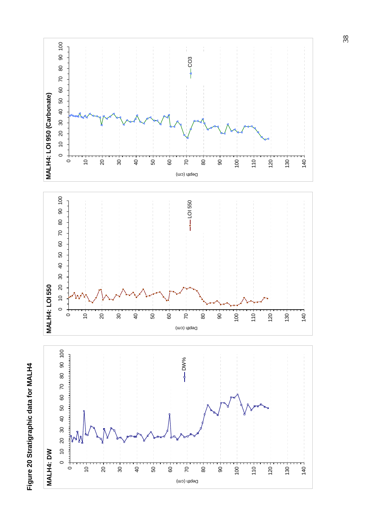# Figure 20 Stratigraphic data for MALH4 **Figure 20 Stratigraphic data for MALH4**

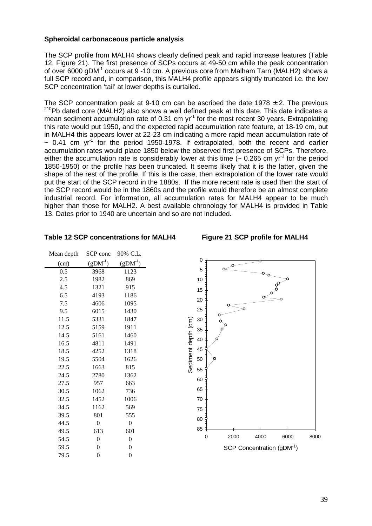#### **Spheroidal carbonaceous particle analysis**

The SCP profile from MALH4 shows clearly defined peak and rapid increase features (Table 12, Figure 21). The first presence of SCPs occurs at 49-50 cm while the peak concentration of over 6000 gDM-1 occurs at 9 -10 cm. A previous core from Malham Tarn (MALH2) shows a full SCP record and, in comparison, this MALH4 profile appears slightly truncated i.e. the low SCP concentration 'tail' at lower depths is curtailed.

The SCP concentration peak at 9-10 cm can be ascribed the date 1978  $\pm$  2. The previous <sup>210</sup>Pb dated core (MALH2) also shows a well defined peak at this date. This date indicates a mean sediment accumulation rate of 0.31 cm  $yr<sup>-1</sup>$  for the most recent 30 years. Extrapolating this rate would put 1950, and the expected rapid accumulation rate feature, at 18-19 cm, but in MALH4 this appears lower at 22-23 cm indicating a more rapid mean accumulation rate of  $\sim$  0.41 cm yr<sup>-1</sup> for the period 1950-1978. If extrapolated, both the recent and earlier accumulation rates would place 1850 below the observed first presence of SCPs. Therefore, either the accumulation rate is considerably lower at this time  $($   $\sim$  0.265 cm yr<sup>-1</sup> for the period 1850-1950) or the profile has been truncated. It seems likely that it is the latter, given the shape of the rest of the profile. If this is the case, then extrapolation of the lower rate would put the start of the SCP record in the 1880s. If the more recent rate is used then the start of the SCP record would be in the 1860s and the profile would therefore be an almost complete industrial record. For information, all accumulation rates for MALH4 appear to be much higher than those for MALH2. A best available chronology for MALH4 is provided in Table 13. Dates prior to 1940 are uncertain and so are not included.

| Mean depth | SCP conc         | 90% C.L.         |
|------------|------------------|------------------|
| (cm)       | $(gDM^{-1})$     | $(gDM-1)$        |
| 0.5        | 3968             | 1123             |
| 2.5        | 1982             | 869              |
| 4.5        | 1321             | 915              |
| 6.5        | 4193             | 1186             |
| 7.5        | 4606             | 1095             |
| 9.5        | 6015             | 1430             |
| 11.5       | 5331             | 1847             |
| 12.5       | 5159             | 1911             |
| 14.5       | 5161             | 1460             |
| 16.5       | 4811             | 1491             |
| 18.5       | 4252             | 1318             |
| 19.5       | 5504             | 1626             |
| 22.5       | 1663             | 815              |
| 24.5       | 2780             | 1362             |
| 27.5       | 957              | 663              |
| 30.5       | 1062             | 736              |
| 32.5       | 1452             | 1006             |
| 34.5       | 1162             | 569              |
| 39.5       | 801              | 555              |
| 44.5       | 0                | 0                |
| 49.5       | 613              | 601              |
| 54.5       | 0                | $\overline{0}$   |
| 59.5       | $\boldsymbol{0}$ | $\boldsymbol{0}$ |
| 79.5       | 0                | $\overline{0}$   |
|            |                  |                  |

#### **Table 12 SCP concentrations for MALH4 Figure 21 SCP profile for MALH4**



#### SCP Concentration (gDM-1)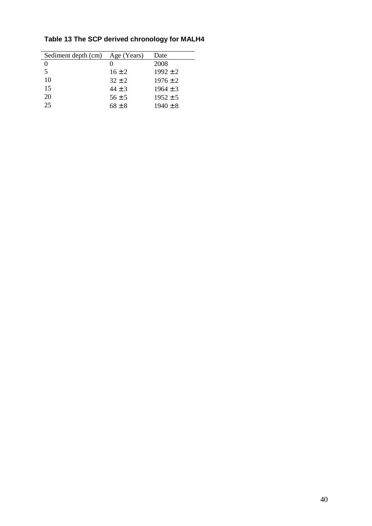| Sediment depth (cm) | Age (Years) | Date         |
|---------------------|-------------|--------------|
| $\mathbf{\Omega}$   |             | 2008         |
| 5                   | $16 \pm 2$  | $1992 + 2$   |
| 10                  | $32 + 2$    | $1976 \pm 2$ |
| 15                  | $44 \pm 3$  | $1964 + 3$   |
| 20                  | $56 \pm 5$  | $1952 \pm 5$ |
| 25                  | $68 \pm 8$  | $1940 \pm 8$ |

## **Table 13 The SCP derived chronology for MALH4**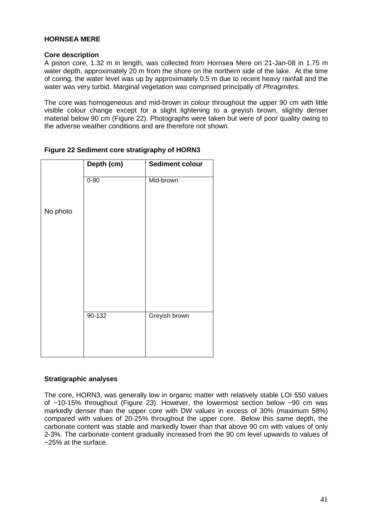#### **HORNSEA MERE**

#### **Core description**

A piston core, 1.32 m in length, was collected from Hornsea Mere on 21-Jan-08 in 1.75 m water depth, approximately 20 m from the shore on the northern side of the lake. At the time of coring, the water level was up by approximately 0.5 m due to recent heavy rainfall and the water was very turbid. Marginal vegetation was comprised principally of Phragmites.

The core was homogeneous and mid-brown in colour throughout the upper 90 cm with little visible colour change except for a slight lightening to a greyish brown, slightly denser material below 90 cm (Figure 22). Photographs were taken but were of poor quality owing to the adverse weather conditions and are therefore not shown.

|          | Depth (cm) | <b>Sediment colour</b> |
|----------|------------|------------------------|
|          | $0 - 90$   | Mid-brown              |
| No photo |            |                        |
|          |            |                        |
|          |            |                        |
|          |            |                        |
|          | 90-132     | Greyish brown          |
|          |            |                        |

#### **Figure 22 Sediment core stratigraphy of HORN3**

#### **Stratigraphic analyses**

The core, HORN3, was generally low in organic matter with relatively stable LOI 550 values of  $~10-15\%$  throughout (Figure 23). However, the lowermost section below  $~10-15\%$  cm was markedly denser than the upper core with DW values in excess of 30% (maximum 58%) compared with values of 20-25% throughout the upper core. Below this same depth, the carbonate content was stable and markedly lower than that above 90 cm with values of only 2-3%. The carbonate content gradually increased from the 90 cm level upwards to values of ~25% at the surface.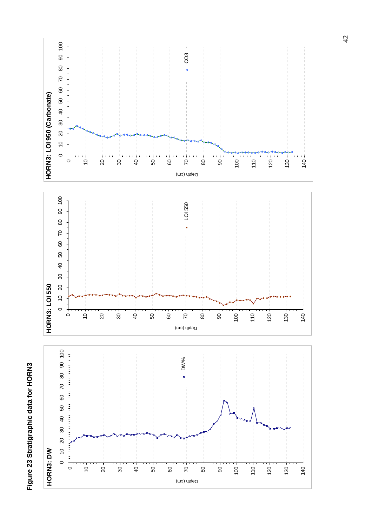# Figure 23 Stratigraphic data for HORN3 **Figure 23 Stratigraphic data for HORN3**

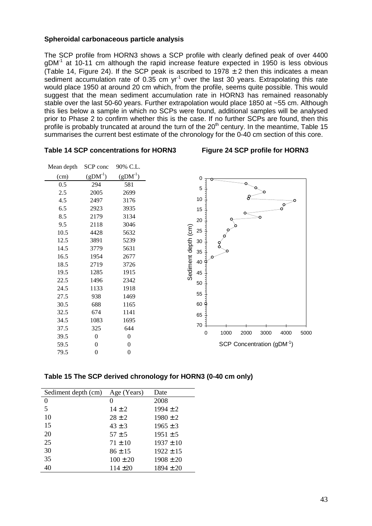#### **Spheroidal carbonaceous particle analysis**

The SCP profile from HORN3 shows a SCP profile with clearly defined peak of over 4400  $gDM^{-1}$  at 10-11 cm although the rapid increase feature expected in 1950 is less obvious (Table 14, Figure 24). If the SCP peak is ascribed to 1978  $\pm$  2 then this indicates a mean sediment accumulation rate of 0.35 cm  $yr<sup>-1</sup>$  over the last 30 years. Extrapolating this rate would place 1950 at around 20 cm which, from the profile, seems quite possible. This would suggest that the mean sediment accumulation rate in HORN3 has remained reasonably stable over the last 50-60 years. Further extrapolation would place 1850 at ~55 cm. Although this lies below a sample in which no SCPs were found, additional samples will be analysed prior to Phase 2 to confirm whether this is the case. If no further SCPs are found, then this profile is probably truncated at around the turn of the  $20<sup>th</sup>$  century. In the meantime, Table 15 summarises the current best estimate of the chronology for the 0-40 cm section of this core.

| Mean depth | SCP conc            | 90% C.L.       |
|------------|---------------------|----------------|
| (cm)       | (gDM <sup>1</sup> ) | $(gDM-1)$      |
| 0.5        | 294                 | 581            |
| 2.5        | 2005                | 2699           |
| 4.5        | 2497                | 3176           |
| 6.5        | 2923                | 3935           |
| 8.5        | 2179                | 3134           |
| 9.5        | 2118                | 3046           |
| 10.5       | 4428                | 5632           |
| 12.5       | 3891                | 5239           |
| 14.5       | 3779                | 5631           |
| 16.5       | 1954                | 2677           |
| 18.5       | 2719                | 3726           |
| 19.5       | 1285                | 1915           |
| 22.5       | 1496                | 2342           |
| 24.5       | 1133                | 1918           |
| 27.5       | 938                 | 1469           |
| 30.5       | 688                 | 1165           |
| 32.5       | 674                 | 1141           |
| 34.5       | 1083                | 1695           |
| 37.5       | 325                 | 644            |
| 39.5       | 0                   | $\theta$       |
| 59.5       | 0                   | $\overline{0}$ |
| 79.5       | 0                   | 0              |
|            |                     |                |





| Sediment depth (cm) | Age (Years)  | Date          |
|---------------------|--------------|---------------|
| 0                   | 0            | 2008          |
| 5                   | $14 \pm 2$   | $1994 \pm 2$  |
| 10                  | $28 \pm 2$   | $1980 \pm 2$  |
| 15                  | $43 \pm 3$   | $1965 \pm 3$  |
| 20                  | $57 \pm 5$   | $1951 \pm 5$  |
| 25                  | $71 \pm 10$  | $1937 \pm 10$ |
| 30                  | $86 \pm 15$  | $1922 \pm 15$ |
| 35                  | $100 \pm 20$ | $1908 \pm 20$ |
| 40                  | $114 + 20$   | $1894 \pm 20$ |